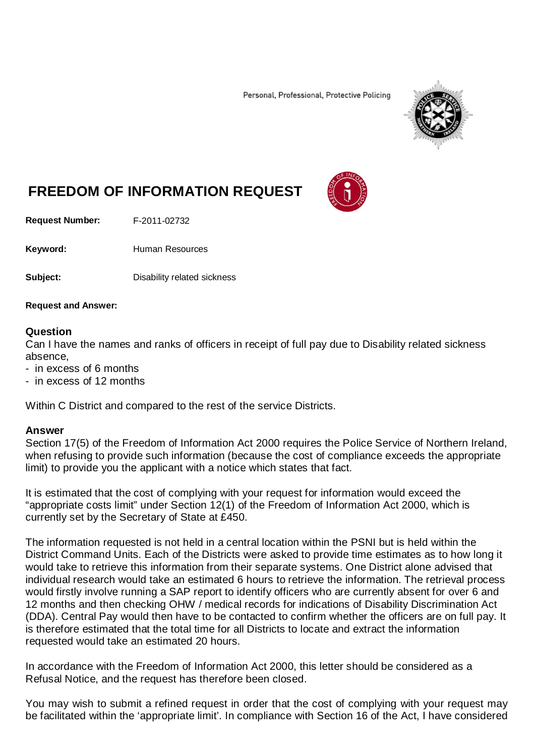Personal, Professional, Protective Policing



## **FREEDOM OF INFORMATION REQUEST**

**Request Number:** F-2011-02732

Keyword: Human Resources

**Subject:** Disability related sickness

**Request and Answer:**

## **Question**

Can I have the names and ranks of officers in receipt of full pay due to Disability related sickness absence,

- in excess of 6 months
- in excess of 12 months

Within C District and compared to the rest of the service Districts.

## **Answer**

Section 17(5) of the Freedom of Information Act 2000 requires the Police Service of Northern Ireland, when refusing to provide such information (because the cost of compliance exceeds the appropriate limit) to provide you the applicant with a notice which states that fact.

It is estimated that the cost of complying with your request for information would exceed the "appropriate costs limit" under Section 12(1) of the Freedom of Information Act 2000, which is currently set by the Secretary of State at £450.

The information requested is not held in a central location within the PSNI but is held within the District Command Units. Each of the Districts were asked to provide time estimates as to how long it would take to retrieve this information from their separate systems. One District alone advised that individual research would take an estimated 6 hours to retrieve the information. The retrieval process would firstly involve running a SAP report to identify officers who are currently absent for over 6 and 12 months and then checking OHW / medical records for indications of Disability Discrimination Act (DDA). Central Pay would then have to be contacted to confirm whether the officers are on full pay. It is therefore estimated that the total time for all Districts to locate and extract the information requested would take an estimated 20 hours.

In accordance with the Freedom of Information Act 2000, this letter should be considered as a Refusal Notice, and the request has therefore been closed.

You may wish to submit a refined request in order that the cost of complying with your request may be facilitated within the 'appropriate limit'. In compliance with Section 16 of the Act, I have considered